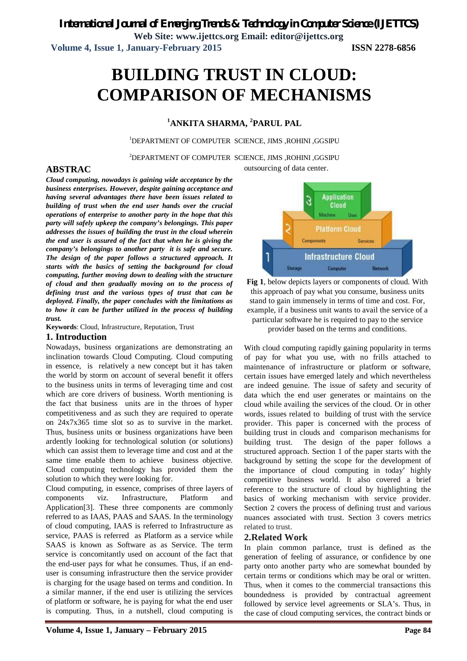**Web Site: www.ijettcs.org Email: editor@ijettcs.org Volume 4, Issue 1, January-February 2015 ISSN 2278-6856**

# **BUILDING TRUST IN CLOUD: COMPARISON OF MECHANISMS**

### **<sup>1</sup>ANKITA SHARMA, <sup>2</sup>PARUL PAL**

<sup>1</sup>DEPARTMENT OF COMPUTER SCIENCE, JIMS ,ROHINI ,GGSIPU

outsourcing of data center. <sup>2</sup>DEPARTMENT OF COMPUTER SCIENCE, JIMS ,ROHINI ,GGSIPU

#### **ABSTRAC**

*Cloud computing, nowadays is gaining wide acceptance by the business enterprises. However, despite gaining acceptance and having several advantages there have been issues related to building of trust when the end user hands over the crucial operations of enterprise to another party in the hope that this party will safely upkeep the company's belongings. This paper addresses the issues of building the trust in the cloud wherein the end user is assured of the fact that when he is giving the company's belongings to another party it is safe and secure. The design of the paper follows a structured approach. It starts with the basics of setting the background for cloud computing, further moving down to dealing with the structure of cloud and then gradually moving on to the process of defining trust and the various types of trust that can be deployed. Finally, the paper concludes with the limitations as to how it can be further utilized in the process of building trust.*

**Keywords**: Cloud, Infrastructure, Reputation, Trust

#### **1. Introduction**

Nowadays, business organizations are demonstrating an inclination towards Cloud Computing. Cloud computing in essence, is relatively a new concept but it has taken the world by storm on account of several benefit it offers to the business units in terms of leveraging time and cost which are core drivers of business. Worth mentioning is the fact that business units are in the throes of hyper competitiveness and as such they are required to operate on 24x7x365 time slot so as to survive in the market. Thus, business units or business organizations have been ardently looking for technological solution (or solutions) which can assist them to leverage time and cost and at the same time enable them to achieve business objective. Cloud computing technology has provided them the solution to which they were looking for.

Cloud computing, in essence, comprises of three layers of components viz. Infrastructure, Platform and Application[3]. These three components are commonly referred to as IAAS, PAAS and SAAS. In the terminology of cloud computing, IAAS is referred to Infrastructure as service, PAAS is referred as Platform as a service while SAAS is known as Software as as Service. The term service is concomitantly used on account of the fact that the end-user pays for what he consumes. Thus, if an enduser is consuming infrastructure then the service provider is charging for the usage based on terms and condition. In a similar manner, if the end user is utilizing the services of platform or software, he is paying for what the end user is computing. Thus, in a nutshell, cloud computing is



**Fig 1**, below depicts layers or components of cloud. With this approach of pay what you consume, business units stand to gain immensely in terms of time and cost. For, example, if a business unit wants to avail the service of a particular software he is required to pay to the service provider based on the terms and conditions.

With cloud computing rapidly gaining popularity in terms of pay for what you use, with no frills attached to maintenance of infrastructure or platform or software, certain issues have emerged lately and which nevertheless are indeed genuine. The issue of safety and security of data which the end user generates or maintains on the cloud while availing the services of the cloud. Or in other words, issues related to building of trust with the service provider. This paper is concerned with the process of building trust in clouds and comparison mechanisms for building trust. The design of the paper follows a structured approach. Section 1 of the paper starts with the background by setting the scope for the development of the importance of cloud computing in today' highly competitive business world. It also covered a brief reference to the structure of cloud by highlighting the basics of working mechanism with service provider. Section 2 covers the process of defining trust and various nuances associated with trust. Section 3 covers metrics related to trust.

#### **2.Related Work**

In plain common parlance, trust is defined as the generation of feeling of assurance, or confidence by one party onto another party who are somewhat bounded by certain terms or conditions which may be oral or written. Thus, when it comes to the commercial transactions this boundedness is provided by contractual agreement followed by service level agreements or SLA's. Thus, in the case of cloud computing services, the contract binds or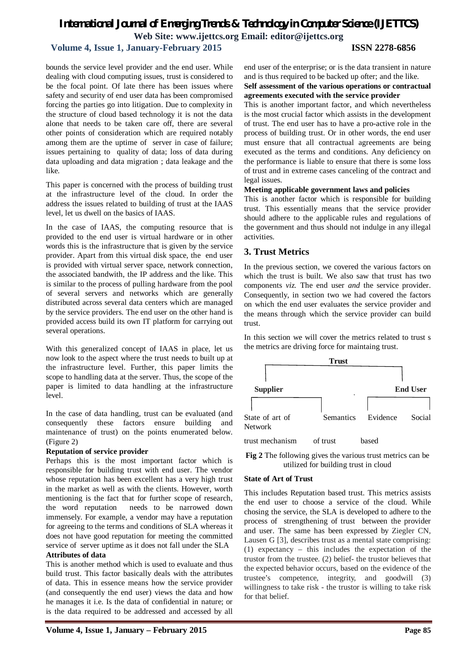# *International Journal of Emerging Trends & Technology in Computer Science (IJETTCS)* **Web Site: www.ijettcs.org Email: editor@ijettcs.org**

#### **Volume 4, Issue 1, January-February 2015 ISSN 2278-6856**

bounds the service level provider and the end user. While dealing with cloud computing issues, trust is considered to be the focal point. Of late there has been issues where safety and security of end user data has been compromised forcing the parties go into litigation. Due to complexity in the structure of cloud based technology it is not the data alone that needs to be taken care off, there are several other points of consideration which are required notably among them are the uptime of server in case of failure; issues pertaining to quality of data; loss of data during data uploading and data migration ; data leakage and the like.

This paper is concerned with the process of building trust at the infrastructure level of the cloud. In order the address the issues related to building of trust at the IAAS level, let us dwell on the basics of IAAS.

In the case of IAAS, the computing resource that is provided to the end user is virtual hardware or in other words this is the infrastructure that is given by the service provider. Apart from this virtual disk space, the end user is provided with virtual server space, network connection, the associated bandwith, the IP address and the like. This is similar to the process of pulling hardware from the pool of several servers and networks which are generally distributed across several data centers which are managed by the service providers. The end user on the other hand is provided access build its own IT platform for carrying out several operations.

With this generalized concept of IAAS in place, let us now look to the aspect where the trust needs to built up at the infrastructure level. Further, this paper limits the scope to handling data at the server. Thus, the scope of the paper is limited to data handling at the infrastructure level.

In the case of data handling, trust can be evaluated (and consequently these factors ensure building and maintenance of trust) on the points enumerated below. (Figure 2)

#### **Reputation of service provider**

Perhaps this is the most important factor which is responsible for building trust with end user. The vendor whose reputation has been excellent has a very high trust in the market as well as with the clients. However, worth mentioning is the fact that for further scope of research, the word reputation needs to be narrowed down immensely. For example, a vendor may have a reputation for agreeing to the terms and conditions of SLA whereas it does not have good reputation for meeting the committed service of server uptime as it does not fall under the SLA **Attributes of data**

This is another method which is used to evaluate and thus build trust. This factor basically deals with the attributes of data. This in essence means how the service provider (and consequently the end user) views the data and how he manages it i.e. Is the data of confidential in nature; or is the data required to be addressed and accessed by all end user of the enterprise; or is the data transient in nature and is thus required to be backed up ofter; and the like.

#### **Self assessment of the various operations or contractual agreements executed with the service provider**

This is another important factor, and which nevertheless is the most crucial factor which assists in the development of trust. The end user has to have a pro-active role in the process of building trust. Or in other words, the end user must ensure that all contractual agreements are being executed as the terms and conditions. Any deficiency on the performance is liable to ensure that there is some loss of trust and in extreme cases canceling of the contract and legal issues.

#### **Meeting applicable government laws and policies**

This is another factor which is responsible for building trust. This essentially means that the service provider should adhere to the applicable rules and regulations of the government and thus should not indulge in any illegal activities.

#### **3. Trust Metrics**

In the previous section, we covered the various factors on which the trust is built. We also saw that trust has two components *viz.* The end user *and* the service provider. Consequently, in section two we had covered the factors on which the end user evaluates the service provider and the means through which the service provider can build trust.

In this section we will cover the metrics related to trust s the metrics are driving force for maintaing trust.



**Fig 2** The following gives the various trust metrics can be utilized for building trust in cloud

#### **State of Art of Trust**

This includes Reputation based trust. This metrics assists the end user to choose a service of the cloud. While chosing the service, the SLA is developed to adhere to the process of strengthening of trust between the provider and user. The same has been expressed by Ziegler CN, Lausen G [3], describes trust as a mental state comprising: (1) expectancy – this includes the expectation of the trustor from the trustee. (2) belief- the trustor believes that the expected behavior occurs, based on the evidence of the trustee's competence, integrity, and goodwill (3) willingness to take risk - the trustor is willing to take risk for that belief.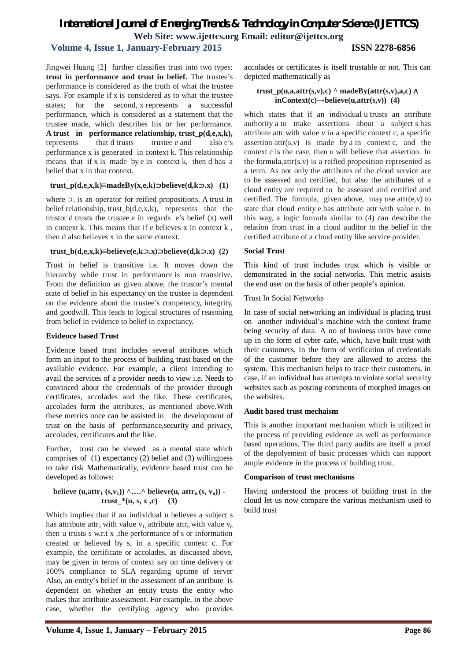## *International Journal of Emerging Trends & Technology in Computer Science (IJETTCS)* **Web Site: www.ijettcs.org Email: editor@ijettcs.org**

### **Volume 4, Issue 1, January-February 2015 ISSN 2278-6856**

Jingwei Huang [2] further classifies trust into two types: **trust in performance and trust in belief.** The trustee's performance is considered as the truth of what the trustee says. For example if x is considered as to what the trustee states; for the second, x represents a successful performance, which is considered as a statement that the trustee made, which describes his or her performance. **A trust in performance relationship, trust\_p(d,e,x,k),** represents that d trusts trustee e and also e's performance x is generated in context k. This relationship means that if x is made by e in context k, then d has a belief that x in that context.

#### **trust**  $p(d,e,x,k) \equiv \text{made} Bv(x,e,k) \supset \text{believe}(d,k \supset x)$  (1)

where ⊃. is an operator for reified propositions. A trust in belief relationship, trust\_b(d,e,x,k), represents that the trustor d trusts the trustee e in regards e's belief (x) well in context k. This means that if e believes x in context k , then d also believes x in the same context.

#### $trust_b(d,e,x,k) \equiv$ **believe(e,k⊃.x)** ⊃**believe(d,k⊃.x)** (2)

Trust in belief is transitive i.e. It moves down the hierarchy while trust in performance is non transitive. From the definition as given above, the trustor's mental state of belief in his expectancy on the trustee is dependent on the evidence about the trustee's competency, integrity, and goodwill. This leads to logical structures of reasoning from belief in evidence to belief in expectancy.

#### **Evidence based Trust**

Evidence based trust includes several attributes which form an input to the process of building trust based on the available evidence. For example, a client intending to avail the services of a provider needs to view i.e. Needs to convinced about the credentials of the provider through certificates, accolades and the like. These certificates, accolades form the attributes, as mentioned above.With these metrics once can be assisted in the development of trust on the basis of performance,security and privacy, accolades, certificates and the like.

Further, trust can be viewed as a mental state which comprises of (1) expectancy (2) belief and (3) willingness to take risk Mathematically, evidence based trust can be developed as follows:

#### **believe** (**u**, attr<sub>1</sub>  $(s, v_1)$ )  $\land$  ...,  $\land$  believe(**u**, attr<sub>n</sub> $(s, v_n)$ ) **trust**  $*(u, s, x, c)$  (3)

Which implies that if an individual u believes a subject s has attribute attr<sub>1</sub> with value  $v_1$  attribute attr<sub>n</sub> with value  $v_n$ then u trusts s w.r.t x , the performance of s or information created or believed by s, in a specific context c. For example, the certificate or accolades, as discussed above, may be given in terms of context say on time delivery or 100% compliance to SLA regarding uptime of server Also, an entity's belief in the assessment of an attribute is dependent on whether an entity trusts the entity who makes that attribute assessment. For example, in the above case, whether the certifying agency who provides accolades or certificates is itself trustable or not. This can depicted mathematically as

#### $trust_p(u,a,attr(s,v),c)$  ^ madeBy( $attr(s,v),a,c$ )  $\wedge$  $inContext(c) \rightarrow believe(u, attr(s, v))$  (4)

which states that if an individual u trusts an attribute authority a to make assertions about a subject s has attribute attr with value v in a specific context c, a specific assertion  $attr(s, v)$  is made by a in context c, and the context c is the case, then u will believe that assertion. In the formula,  $attr(s, v)$  is a reified proposition represented as a term. As not only the attributes of the cloud service are to be assessed and certified, but also the attributes of a cloud entity are required to be assessed and certified and certified. The formula, given above, may use  $attr(e, v)$  to state that cloud entity e has attribute attr with value e. In this way, a logic formula similar to (4) can describe the relation from trust in a cloud auditor to the belief in the certified attribute of a cloud entity like service provider.

#### **Social Trust**

This kind of trust includes trust which is visible or demonstrated in the social networks. This metric assists the end user on the basis of other people's opinion.

Trust In Social Networks

In case of social networking an individual is placing trust on another individual's machine with the context frame being security of data. A no of business units have come up in the form of cyber cafe, which, have built trust with their customers, in the form of verification of credentials of the customer before they are allowed to access the system. This mechanism helps to trace their customers, in case, if an individual has attempts to violate social security websites such as posting comments of morphed images on the websites.

#### **Audit based trust mechaism**

This is another important mechanism which is utilized in the process of providing evidence as well as performance based operations. The third party audits are itself a proof of the depolyement of basic processes which can support ample evidence in the process of building trust.

#### **Comparison of trust mechanisms**

Having understood the process of building trust in the cloud let us now compare the various mechanism used to build trust